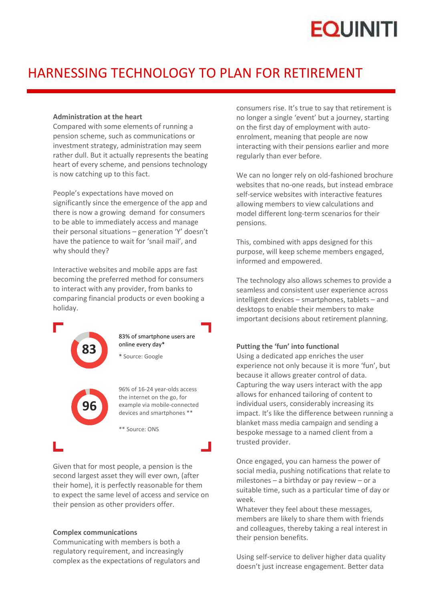# **EQUINITI**

### HARNESSING TECHNOLOGY TO PLAN FOR RETIREMENT

#### **Administration at the heart**

Compared with some elements of running a pension scheme, such as communications or investment strategy, administration may seem rather dull. But it actually represents the beating heart of every scheme, and pensions technology is now catching up to this fact.

People's expectations have moved on significantly since the emergence of the app and there is now a growing demand for consumers to be able to immediately access and manage their personal situations – generation 'Y' doesn't have the patience to wait for 'snail mail', and why should they?

Interactive websites and mobile apps are fast becoming the preferred method for consumers to interact with any provider, from banks to comparing financial products or even booking a holiday.



83% of smartphone users are

**\*** Source: Google



96% of 16-24 year-olds access the internet on the go, for example via mobile-connected devices and smartphones \*\*

\*\* Source: ONS

Given that for most people, a pension is the second largest asset they will ever own, (after their home), it is perfectly reasonable for them to expect the same level of access and service on their pension as other providers offer.

#### **Complex communications**

Communicating with members is both a regulatory requirement, and increasingly complex as the expectations of regulators and consumers rise. It's true to say that retirement is no longer a single 'event' but a journey, starting on the first day of employment with auto enrolment, meaning that people are now interacting with their pensions earlier and more regularly than ever before.

We can no longer rely on old-fashioned brochure websites that no-one reads, but instead embrace self-service websites with interactive features allowing members to view calculations and model different long-term scenarios for their pensions.

This, combined with apps designed for this purpose, will keep scheme members engaged, informed and empowered.

The technology also allows schemes to provide a seamless and consistent user experience across intelligent devices – smartphones, tablets – and desktops to enable their members to make important decisions about retirement planning.

#### **Putting the 'fun' into functional**

Using a dedicated app enriches the user experience not only because it is more 'fun', but because it allows greater control of data. Capturing the way users interact with the app allows for enhanced tailoring of content to individual users, considerably increasing its impact. It's like the difference between running a blanket mass media campaign and sending a bespoke message to a named client from a trusted provider.

Once engaged, you can harness the power of social media, pushing notifications that relate to milestones – a birthday or pay review – or a suitable time, such as a particular time of day or week.

Whatever they feel about these messages, members are likely to share them with friends and colleagues, thereby taking a real interest in their pension benefits.

Using self-service to deliver higher data quality doesn't just increase engagement. Better data